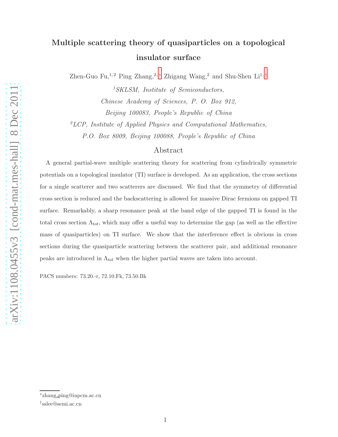## Multiple scattering theory of quasiparticles on a topological insulator surface

Zhen-Guo Fu,<sup>1,2</sup> Ping Zhang,<sup>2,\*</sup> Zhigang Wang,<sup>2</sup> and Shu-Shen Li<sup>1,[†](#page-0-1)</sup>

<sup>1</sup>SKLSM, Institute of Semiconductors, Chinese Academy of Sciences, P. O. Box 912, Beijing 100083, People's Republic of China

 ${}^{2}LCP$ , Institute of Applied Physics and Computational Mathematics, P.O. Box 8009, Beijing 100088, People's Republic of China

## Abstract

A general partial-wave multiple scattering theory for scattering from cylindrically symmetric potentials on a topological insulator (TI) surface is developed. As an application, the cross sections for a single scatterer and two scatterers are discussed. We find that the symmetry of differential cross section is reduced and the backscattering is allowed for massive Dirac fermions on gapped TI surface. Remarkably, a sharp resonance peak at the band edge of the gapped TI is found in the total cross section  $\Lambda_{tot}$ , which may offer a useful way to determine the gap (as well as the effective mass of quasiparticles) on TI surface. We show that the interference effect is obvious in cross sections during the quasiparticle scattering between the scatterer pair, and additional resonance peaks are introduced in  $\Lambda_{tot}$  when the higher partial waves are taken into account.

PACS numbers: 73.20.-r, 72.10.Fk, 73.50.Bk

<span id="page-0-1"></span><span id="page-0-0"></span><sup>∗</sup> zhang ping@iapcm.ac.cn

<sup>†</sup> sslee@semi.ac.cn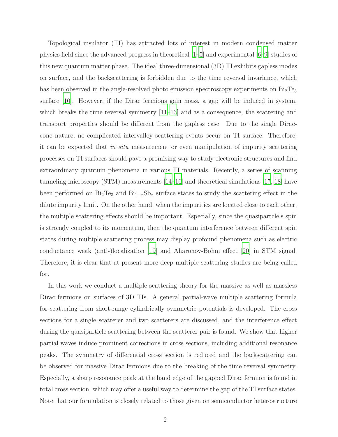Topological insulator (TI) has attracted lots of interest in modern condensed matter physics field since the advanced progress in theoretical [\[1](#page-9-0)[–5](#page-9-1)] and experimental [\[6](#page-9-2)[–9\]](#page-9-3) studies of this new quantum matter phase. The ideal three-dimensional (3D) TI exhibits gapless modes on surface, and the backscattering is forbidden due to the time reversal invariance, which has been observed in the angle-resolved photo emission spectroscopy experiments on  $Bi_2Te_3$ surface [\[10](#page-9-4)]. However, if the Dirac fermions gain mass, a gap will be induced in system, which breaks the time reversal symmetry  $[11-13]$  and as a consequence, the scattering and transport properties should be different from the gapless case. Due to the single Diraccone nature, no complicated intervalley scattering events occur on TI surface. Therefore, it can be expected that in situ measurement or even manipulation of impurity scattering processes on TI surfaces should pave a promising way to study electronic structures and find extraordinary quantum phenomena in various TI materials. Recently, a series of scanning tunneling microscopy (STM) measurements [\[14](#page-9-7)[–16\]](#page-9-8) and theoretical simulations [\[17,](#page-9-9) [18\]](#page-9-10) have been performed on  $Bi_2Te_3$  and  $Bi_{1-x}Sb_x$  surface states to study the scattering effect in the dilute impurity limit. On the other hand, when the impurities are located close to each other, the multiple scattering effects should be important. Especially, since the quasipartcle's spin is strongly coupled to its momentum, then the quantum interference between different spin states during multiple scattering process may display profound phenomena such as electric conductance weak (anti-)localization [\[19](#page-9-11)] and Aharonov-Bohm effect [\[20](#page-9-12)] in STM signal. Therefore, it is clear that at present more deep multiple scattering studies are being called for.

In this work we conduct a multiple scattering theory for the massive as well as massless Dirac fermions on surfaces of 3D TIs. A general partial-wave multiple scattering formula for scattering from short-range cylindrically symmetric potentials is developed. The cross sections for a single scatterer and two scatterers are discussed, and the interference effect during the quasiparticle scattering between the scatterer pair is found. We show that higher partial waves induce prominent corrections in cross sections, including additional resonance peaks. The symmetry of differential cross section is reduced and the backscattering can be observed for massive Dirac fermions due to the breaking of the time reversal symmetry. Especially, a sharp resonance peak at the band edge of the gapped Dirac fermion is found in total cross section, which may offer a useful way to determine the gap of the TI surface states. Note that our formulation is closely related to those given on semiconductor heterostructure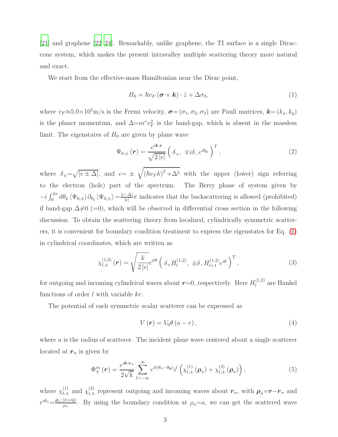[\[21\]](#page-9-13) and graphene [\[22](#page-9-14)[–24](#page-9-15)]. Remarkably, unlike graphene, the TI surface is a single Diraccone system, which makes the present intravalley multiple scattering theory more natural and exact.

We start from the effective-mass Hamiltonian near the Dirac point,

<span id="page-2-0"></span>
$$
H_0 = \hbar v_F (\boldsymbol{\sigma} \times \boldsymbol{k}) \cdot \hat{z} + \Delta \sigma_3, \tag{1}
$$

where  $v_F \approx 5.0 \times 10^5$  m/s is the Fermi velocity,  $\sigma = (\sigma_1, \sigma_2, \sigma_3)$  are Pauli matrices,  $\mathbf{k} = (k_x, k_y)$ is the planer momentum, and  $\Delta = m^* v_F^2$  is the band-gap, which is absent in the massless limit. The eigenstates of  $H_0$  are given by plane wave

$$
\Psi_{0,\pm}(\boldsymbol{r}) = \frac{e^{i\boldsymbol{k}\cdot\boldsymbol{r}}}{\sqrt{2|\epsilon|}} \left(\delta_+, \mp i\delta_- e^{i\theta_{\boldsymbol{k}}}\right)^T,\tag{2}
$$

where  $\delta_{\pm} = \sqrt{|\epsilon \pm \Delta|}$ , and  $\epsilon = \pm \sqrt{(\hbar v_F k)^2 + \Delta^2}$  with the upper (lower) sign referring to the electron (hole) part of the spectrum. The Berry phase of system given by  $-i\int_0^{2\pi} d\theta_k \langle \Psi_{0,\pm} | \partial_{\theta_k} | \Psi_{0,\pm} \rangle = \frac{|\epsilon - \Delta|}{|\epsilon|}$  $\frac{-\Delta_1}{|\epsilon|}\pi$  indicates that the backscattering is allowed (prohibited) if band-gap  $\Delta \neq 0$  (=0), which will be observed in differential cross section in the following discussion. To obtain the scattering theory from localized, cylindrically symmetric scatterers, it is convenient for boundary condition treatment to express the eigenstates for Eq. [\(1\)](#page-2-0) in cylindrical coordinates, which are written as

$$
\chi_{l,\pm}^{(1,2)}(\mathbf{r}) = \sqrt{\frac{k}{2\left|\epsilon\right|}} e^{il\theta} \left(\delta_+ H_l^{(1,2)}, \pm \delta_- H_{l+1}^{(1,2)} e^{i\theta}\right)^T, \tag{3}
$$

for outgoing and incoming cylindrical waves about  $r=0$ , respectively. Here  $H_l^{(1,2)}$  $\int_l^{(1,2)}$  are Hankel functions of order l with variable kr.

The potential of each symmetric scalar scatterer can be expressed as

$$
V\left(\boldsymbol{r}\right) = V_0 \theta \left(a - r\right),\tag{4}
$$

where a is the radius of scatterer. The incident plane wave centered about a single scatterer located at  $r_n$  is given by

$$
\Phi_{\pm}^{in}(\boldsymbol{r}) = \frac{e^{i\boldsymbol{k}\cdot\boldsymbol{r}_n}}{2\sqrt{k}} \sum_{l=-\infty}^{\infty} e^{il(\theta_n-\theta_{\boldsymbol{k}})} i^l \left( \chi_{l,\pm}^{(1)}(\boldsymbol{\rho}_n) + \chi_{l,\pm}^{(2)}(\boldsymbol{\rho}_n) \right), \tag{5}
$$

where  $\chi_{l,\pm}^{(1)}$  and  $\chi_{l,\pm}^{(2)}$  represent outgoing and incoming waves about  $r_n$ , with  $\rho_n = r - r_n$  and  $e^{i\theta_n} = \frac{\rho_n \cdot (\hat{x} + i\hat{y})}{\rho_n}$  $\frac{(x+iy)}{\rho_n}$ . By using the boundary condition at  $\rho_n=a$ , we can get the scattered wave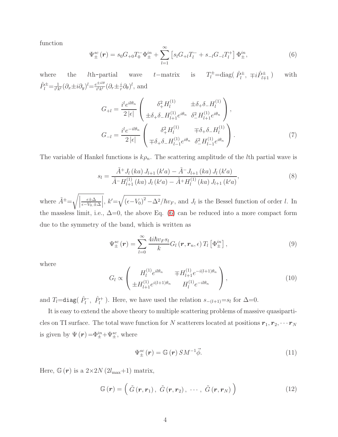function

<span id="page-3-0"></span>
$$
\Psi_{\pm}^{sc}(\mathbf{r}) = s_0 G_{+0} T_0^{-} \Phi_{\pm}^{in} + \sum_{l=1}^{\infty} \left[ s_l G_{+l} T_l^{-} + s_{-l} G_{-l} T_l^{+} \right] \Phi_{\pm}^{in}, \tag{6}
$$

where the *l*th-partial wave t–matrix is  $T_l^{\pm}$ =diag( $\hat{P}_l^{\pm}$ ,  $\mp i \hat{P}_{l\mp 1}^{\pm}$ ) with  $\hat{P}^{\pm}_{l}=\frac{1}{i^{l}k}$  $\frac{1}{i^lk^l}(\partial_x \pm i\partial_y)^l = \frac{e^{\pm i l\theta}}{i^lk^l}$  $\frac{e^{\pm il\theta}}{i^lk^l}(\partial_r\pm\frac{i}{r})$  $(\frac{i}{r}\partial_{\theta})^{l}$ , and

$$
G_{+l} = \frac{i^{l}e^{il\theta_{n}}}{2|\epsilon|} \begin{pmatrix} \delta_{+}^{2}H_{l}^{(1)} & \pm \delta_{+}\delta_{-}H_{l}^{(1)} \\ \pm \delta_{+}\delta_{-}H_{l+1}^{(1)}e^{i\theta_{n}} & \delta_{-}^{2}H_{l+1}^{(1)}e^{i\theta_{n}} \end{pmatrix},
$$

$$
G_{-l} = \frac{i^{l}e^{-il\theta_{n}}}{2|\epsilon|} \begin{pmatrix} \delta_{+}^{2}H_{l}^{(1)} & \mp \delta_{+}\delta_{-}H_{l}^{(1)} \\ \mp \delta_{+}\delta_{-}H_{l-1}^{(1)}e^{i\theta_{n}} & \delta_{-}^{2}H_{l-1}^{(1)}e^{i\theta_{n}} \end{pmatrix}.
$$
(7)

The variable of Hankel functions is  $k\rho_n$ . The scattering amplitude of the lth partial wave is

$$
s_{l} = \frac{\tilde{A}^{+} J_{l} (ka) J_{l+1} (k'a) - \tilde{A}^{-} J_{l+1} (ka) J_{l} (k'a)}{\tilde{A}^{-} H_{l+1}^{(1)} (ka) J_{l} (k'a) - \tilde{A}^{+} H_{l}^{(1)} (ka) J_{l+1} (k'a)},
$$
\n(8)

where  $\tilde{A}^{\pm} = \sqrt{\Big|}$ ǫ±∆  $\epsilon$ − $V_0$ .±∆ |,  $k' = \sqrt{(\epsilon - V_0)^2 - \Delta^2}/\hbar v_F$ , and  $J_l$  is the Bessel function of order l. In the massless limit, i.e.,  $\Delta=0$ , the above Eq. [\(6\)](#page-3-0) can be reduced into a more compact form due to the symmetry of the band, which is written as

$$
\Psi_{\pm}^{sc}(\boldsymbol{r}) = \sum_{l=0}^{\infty} \frac{4i\hbar v_F s_l}{k} G_l(\boldsymbol{r}, \boldsymbol{r}_n, \epsilon) T_l \left[ \Phi_{\pm}^{in} \right], \tag{9}
$$

where

$$
G_l \propto \begin{pmatrix} H_l^{(1)} e^{il\theta_n} & \mp H_{l+1}^{(1)} e^{-i(l+1)\theta_n} \\ \pm H_{l+1}^{(1)} e^{i(l+1)\theta_n} & H_l^{(1)} e^{-il\theta_n} \end{pmatrix},
$$
\n(10)

and  $T_l = \text{diag}(\hat{P}_l^-, \hat{P}_l^+)$ . Here, we have used the relation  $s_{-(l+1)} = s_l$  for  $\Delta = 0$ .

It is easy to extend the above theory to multiple scattering problems of massive quasiparticles on TI surface. The total wave function for N scatterers located at positions  $r_1, r_2, \cdots r_N$ is given by  $\Psi(r) = \Phi_{\pm}^{in} + \Psi_{\pm}^{sc}$ , where

<span id="page-3-1"></span>
$$
\Psi_{\pm}^{sc}(\mathbf{r}) = \mathbb{G}(\mathbf{r}) \, SM^{-1} \vec{\phi}.\tag{11}
$$

Here,  $\mathbb{G}(r)$  is a  $2\times 2N$   $(2l_{\text{max}}+1)$  matrix,

<span id="page-3-2"></span>
$$
\mathbb{G}\left(\boldsymbol{r}\right) = \left(\ \tilde{G}\left(\boldsymbol{r}, \boldsymbol{r}_1\right), \ \tilde{G}\left(\boldsymbol{r}, \boldsymbol{r}_2\right), \ \cdots, \ \tilde{G}\left(\boldsymbol{r}, \boldsymbol{r}_N\right) \ \right) \tag{12}
$$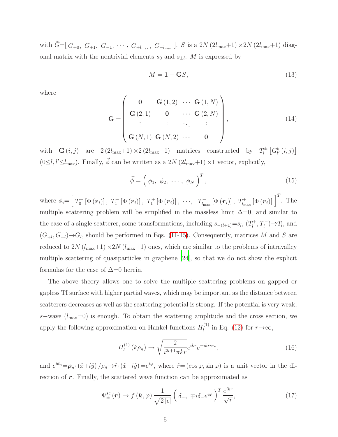with  $\tilde{G} = [G_{+0}, G_{+1}, G_{-1}, \cdots, G_{+l_{\text{max}}}, G_{-l_{\text{max}}}].$  S is a 2N  $(2l_{\text{max}}+1) \times 2N (2l_{\text{max}}+1)$  diagonal matrix with the nontrivial elements  $s_0$  and  $s_{\pm l}$ . M is expressed by

$$
M = \mathbf{1} - \mathbf{G}S,\tag{13}
$$

where

$$
\mathbf{G} = \begin{pmatrix} \mathbf{0} & \mathbf{G}(1,2) & \cdots & \mathbf{G}(1,N) \\ \mathbf{G}(2,1) & \mathbf{0} & \cdots & \mathbf{G}(2,N) \\ \vdots & \vdots & \ddots & \vdots \\ \mathbf{G}(N,1) & \mathbf{G}(N,2) & \cdots & \mathbf{0} \end{pmatrix},
$$
(14)

with  $\mathbf{G}(i, j)$  are  $2(2l_{\text{max}}+1) \times 2(2l_{\text{max}}+1)$  matrices constructed by  $T_l^{\pm}$  $\int_l^\pm \left[G_{l'}^{k}\left(i,j\right)\right]$  $(0 \leq l, l' \leq l_{\text{max}})$ . Finally,  $\vec{\phi}$  can be written as a 2N  $(2l_{\text{max}}+1) \times 1$  vector, explicitly,

<span id="page-4-0"></span>
$$
\vec{\phi} = \left(\phi_1, \phi_2, \cdots, \phi_N\right)^T, \tag{15}
$$

where  $\phi_i = \left[ T_0^- \left[ \Phi\left(\boldsymbol{r}_i\right) \right], T_1^- \left[ \Phi\left(\boldsymbol{r}_i\right) \right], T_1^+ \left[ \Phi\left(\boldsymbol{r}_i\right) \right], \cdots, T_{l_{\text{max}}}^- \left[ \Phi\left(\boldsymbol{r}_i\right) \right], T_{l_{\text{max}}}^+ \left[ \Phi\left(\boldsymbol{r}_i\right) \right] \right]^T$ . The multiple scattering problem will be simplified in the massless limit  $\Delta=0$ , and similar to the case of a single scatterer, some transformations, including  $s_{-(l+1)} = s_l$ ,  $(T_l^+$  $l^+, T_l^ \rightarrow$   $T_l$ , and  $(G_{+l}, G_{-l}) \rightarrow G_l$ , should be performed in Eqs. [\(11](#page-3-1)[-15\)](#page-4-0). Consequently, matrices M and S are reduced to 2N  $(l_{\text{max}}+1) \times 2N (l_{\text{max}}+1)$  ones, which are similar to the problems of intravalley multiple scattering of quasiparticles in graphene [\[24\]](#page-9-15), so that we do not show the explicit formulas for the case of  $\Delta=0$  herein.

The above theory allows one to solve the multiple scattering problems on gapped or gapless TI surface with higher partial waves, which may be important as the distance between scatterers decreases as well as the scattering potential is strong. If the potential is very weak, s–wave  $(l_{\text{max}}=0)$  is enough. To obtain the scattering amplitude and the cross section, we apply the following approximation on Hankel functions  $H_l^{(1)}$  $\prod_l^{(1)}$  in Eq. [\(12\)](#page-3-2) for  $r \rightarrow \infty$ ,

$$
H_l^{(1)}(k\rho_n) \to \sqrt{\frac{2}{i^{2l+1}\pi kr}} e^{ikr} e^{-ik\hat{r}\cdot \mathbf{r}_n},\tag{16}
$$

and  $e^{i\theta_n} = \rho_n \cdot (\hat{x} + i\hat{y}) / \rho_n \rightarrow \hat{r} \cdot (\hat{x} + i\hat{y}) = e^{i\varphi}$ , where  $\hat{r} = (\cos \varphi, \sin \varphi)$  is a unit vector in the direction of  $r$ . Finally, the scattered wave function can be approximated as

$$
\Psi_{\pm}^{sc}(\mathbf{r}) \to f(\mathbf{k}, \varphi) \frac{1}{\sqrt{2|\epsilon|}} \left(\delta_{+}, \mp i\delta_{-}e^{i\varphi}\right)^{T} \frac{e^{ikr}}{\sqrt{r}},\tag{17}
$$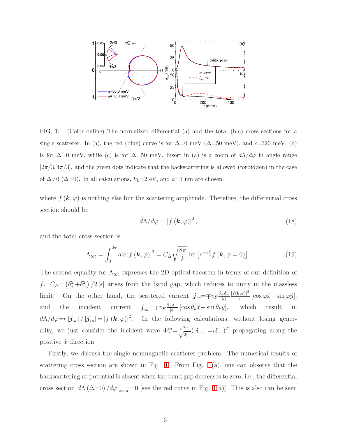

<span id="page-5-0"></span>FIG. 1: (Color online) The normalized differential (a) and the total (b-c) cross sections for a single scatterer. In (a), the red (blue) curve is for  $\Delta=0$  meV ( $\Delta=50$  meV), and  $\epsilon=320$  meV. (b) is for  $\Delta=0$  meV, while (c) is for  $\Delta=50$  meV. Insert in (a) is a zoom of  $d\Lambda/d\varphi$  in angle range  $[2\pi/3, 4\pi/3]$ , and the green dots indicate that the backscattering is allowed (forbidden) in the case of  $\Delta \neq 0$  ( $\Delta=0$ ). In all calculations,  $V_0=2$  eV, and  $a=1$  nm are chosen.

where  $f(\mathbf{k}, \varphi)$  is nothing else but the scattering amplitude. Therefore, the differential cross section should be

$$
d\Lambda/d\varphi = |f(\mathbf{k}, \varphi)|^2, \qquad (18)
$$

and the total cross section is

<span id="page-5-1"></span>
$$
\Lambda_{tot} = \int_0^{2\pi} d\varphi \left| f\left(\boldsymbol{k}, \varphi\right) \right|^2 = C_\Delta \sqrt{\frac{8\pi}{k}} \operatorname{Im} \left[ e^{-i\frac{\pi}{4}} f\left(\boldsymbol{k}, \varphi = 0 \right) \right],\tag{19}
$$

The second equality for  $\Lambda_{tot}$  expresses the 2D optical theorem in terms of our definition of f.  $C_{\Delta} = (\delta_+^2 + \delta_-^2)/2 |\epsilon|$  arises from the band gap, which reduces to unity in the massless limit. On the other hand, the scattered current  $\mathbf{j}_{sc} = \mp v_F \frac{\delta_+\delta_-}{|\epsilon|}$  $|\epsilon|$  $|f(\mathbf{k,}\varphi)|^2$  $\frac{\partial \varphi}{\partial r}$  [cos  $\varphi \hat{x} + \sin \varphi \hat{y}$ ], and the incident current  $\boldsymbol{j}_{in} = \mp v_F \frac{\delta_+\delta_-}{|\epsilon|}$  $\frac{e^{i\theta}-1}{|\epsilon|}[\cos\theta_k\hat{x}+\sin\theta_k\hat{y}],$  which result in  $d\Lambda/d\varphi=r\left|\mathbf{j}_{sc}\right|/\left|\mathbf{j}_{in}\right|=[f(\mathbf{k},\varphi)]^{2}$ . In the following calculations, without losing generality, we just consider the incident wave  $\Phi_+^{in} = \frac{e^{ikx}}{\sqrt{2|\epsilon|}} (\delta_+, -i\delta_-)^T$  propagating along the positive  $\hat{x}$  direction.

Firstly, we discuss the single nonmagnetic scatterer problem. The numerical results of scattering cross section are shown in Fig. [1.](#page-5-0) From Fig.  $1(a)$ , one can observe that the backscattering at potential is absent when the band gap decreases to zero, i.e., the differential cross section  $d\Lambda (\Delta=0) / d\varphi|_{\varphi=\pi} = 0$  [see the red curve in Fig. [1\(](#page-5-0)a)]. This is also can be seen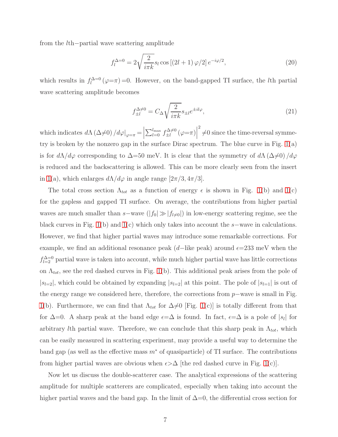from the lth−partial wave scattering amplitude

$$
f_l^{\Delta=0} = 2\sqrt{\frac{2}{i\pi k}} s_l \cos\left[(2l+1)\,\varphi/2\right] e^{-i\varphi/2},\tag{20}
$$

which results in  $f_l^{\Delta=0}(\varphi=\pi)=0$ . However, on the band-gapped TI surface, the *l*th partial wave scattering amplitude becomes

$$
f_{\pm l}^{\Delta \neq 0} = C_{\Delta} \sqrt{\frac{2}{i\pi k}} s_{\pm l} e^{\pm il\varphi},\tag{21}
$$

which indicates  $d\Lambda (\Delta \neq 0) / d\varphi|_{\varphi=\pi} = \Big|$  $\sum_{l=0}^{l_{\text{max}}} f_{\pm l}^{\Delta \neq 0}$  $\frac{d\Delta\neq 0}{dt}$   $(\varphi=\pi)$  $2^2 \neq 0$  since the time-reversal symmetry is broken by the nonzero gap in the surface Dirac spectrum. The blue curve in Fig. [1\(](#page-5-0)a) is for  $d\Lambda/d\varphi$  corresponding to  $\Delta=50$  meV. It is clear that the symmetry of  $d\Lambda(\Delta\neq0)/d\varphi$ is reduced and the backscattering is allowed. This can be more clearly seen from the insert in [1\(](#page-5-0)a), which enlarges  $d\Lambda/d\varphi$  in angle range  $[2\pi/3, 4\pi/3]$ .

The total cross section  $\Lambda_{tot}$  as a function of energy  $\epsilon$  is shown in Fig. [1\(](#page-5-0)b) and 1(c) for the gapless and gapped TI surface. On average, the contributions from higher partial waves are much smaller than s–wave  $(|f_0| \gg |f_{l\neq0}|)$  in low-energy scattering regime, see the black curves in Fig. [1\(](#page-5-0)b) and 1(c) which only takes into account the  $s$ –wave in calculations. However, we find that higher partial waves may introduce some remarkable corrections. For example, we find an additional resonance peak  $(d-$ like peak) around  $\epsilon=233$  meV when the  $f_{l=2}^{\Delta=0}$  partial wave is taken into account, while much higher partial wave has little corrections on  $\Lambda_{tot}$ , see the red dashed curves in Fig. [1\(](#page-5-0)b). This additional peak arises from the pole of  $|s_{l=2}|$ , which could be obtained by expanding  $|s_{l=2}|$  at this point. The pole of  $|s_{l=1}|$  is out of the energy range we considered here, therefore, the corrections from  $p$ −wave is small in Fig. [1\(](#page-5-0)b). Furthermore, we can find that  $\Lambda_{tot}$  for  $\Delta \neq 0$  [Fig. [1\(](#page-5-0)c)] is totally different from that for  $\Delta=0$ . A sharp peak at the band edge  $\epsilon=\Delta$  is found. In fact,  $\epsilon=\Delta$  is a pole of  $|s_l|$  for arbitrary *lth* partial wave. Therefore, we can conclude that this sharp peak in  $\Lambda_{tot}$ , which can be easily measured in scattering experiment, may provide a useful way to determine the band gap (as well as the effective mass  $m^*$  of quasiparticle) of TI surface. The contributions from higher partial waves are obvious when  $\epsilon > \Delta$  [the red dashed curve in Fig. [1\(](#page-5-0)c)].

Now let us discuss the double-scatterer case. The analytical expressions of the scattering amplitude for multiple scatterers are complicated, especially when taking into account the higher partial waves and the band gap. In the limit of  $\Delta=0$ , the differential cross section for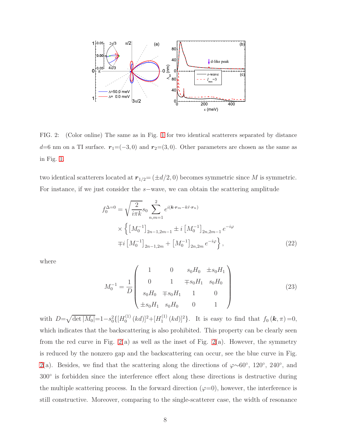

<span id="page-7-0"></span>FIG. 2: (Color online) The same as in Fig. [1](#page-5-0) for two identical scatterers separated by distance d=6 nm on a TI surface.  $r_1=(-3,0)$  and  $r_2=(3,0)$ . Other parameters are chosen as the same as in Fig. [1.](#page-5-0)

two identical scatterers located at  $r_{1/2} = (\pm d/2, 0)$  becomes symmetric since M is symmetric. For instance, if we just consider the s−wave, we can obtain the scattering amplitude

$$
f_0^{\Delta=0} = \sqrt{\frac{2}{i\pi k}} s_0 \sum_{n,m=1}^2 e^{i(\mathbf{k}\cdot\mathbf{r}_m - k\hat{r}\cdot\mathbf{r}_n)}
$$
  
 
$$
\times \left\{ \left[ M_0^{-1} \right]_{2n-1,2m-1} \pm i \left[ M_0^{-1} \right]_{2n,2m-1} e^{-i\varphi} \right\}
$$
  
 
$$
\mp i \left[ M_0^{-1} \right]_{2n-1,2m} + \left[ M_0^{-1} \right]_{2n,2m} e^{-i\varphi} \left\}, \tag{22}
$$

where

$$
M_0^{-1} = \frac{1}{D} \begin{pmatrix} 1 & 0 & s_0 H_0 & \pm s_0 H_1 \\ 0 & 1 & \mp s_0 H_1 & s_0 H_0 \\ s_0 H_0 & \mp s_0 H_1 & 1 & 0 \\ \pm s_0 H_1 & s_0 H_0 & 0 & 1 \end{pmatrix}
$$
(23)

with  $D=\sqrt{\det|M_0|}$ =1-s<sup>2</sup> $\{[H_0^{(1)}\]$  $\binom{1}{0} (kd)]^2 + [H_1^{(1)}$  $\int_1^{(1)} (kd)^2$ . It is easy to find that  $f_0(\mathbf{k}, \pi) = 0$ , which indicates that the backscattering is also prohibited. This property can be clearly seen from the red curve in Fig.  $2(a)$  as well as the inset of Fig.  $2(a)$ . However, the symmetry is reduced by the nonzero gap and the backscattering can occur, see the blue curve in Fig. [2\(](#page-7-0)a). Besides, we find that the scattering along the directions of  $\varphi \sim 60^{\circ}$ , 120<sup>°</sup>, 240<sup>°</sup>, and 300◦ is forbidden since the interference effect along these directions is destructive during the multiple scattering process. In the forward direction  $(\varphi=0)$ , however, the interference is still constructive. Moreover, comparing to the single-scatterer case, the width of resonance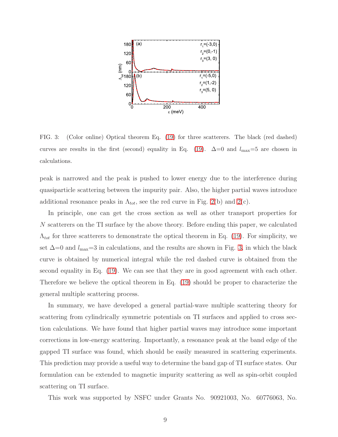

<span id="page-8-0"></span>FIG. 3: (Color online) Optical theorem Eq. [\(19\)](#page-5-1) for three scatterers. The black (red dashed) curves are results in the first (second) equality in Eq. [\(19\)](#page-5-1).  $\Delta=0$  and  $l_{\rm max}=5$  are chosen in calculations.

peak is narrowed and the peak is pushed to lower energy due to the interference during quasiparticle scattering between the impurity pair. Also, the higher partial waves introduce additional resonance peaks in  $\Lambda_{tot}$ , see the red curve in Fig. [2\(](#page-7-0)b) and 2(c).

In principle, one can get the cross section as well as other transport properties for N scatterers on the TI surface by the above theory. Before ending this paper, we calculated  $\Lambda_{tot}$  for three scatterers to demonstrate the optical theorem in Eq. [\(19\)](#page-5-1). For simplicity, we set  $\Delta$ =0 and  $l_{\text{max}}$ =3 in calculations, and the results are shown in Fig. [3,](#page-8-0) in which the black curve is obtained by numerical integral while the red dashed curve is obtained from the second equality in Eq. [\(19\)](#page-5-1). We can see that they are in good agreement with each other. Therefore we believe the optical theorem in Eq. [\(19\)](#page-5-1) should be proper to characterize the general multiple scattering process.

In summary, we have developed a general partial-wave multiple scattering theory for scattering from cylindrically symmetric potentials on TI surfaces and applied to cross section calculations. We have found that higher partial waves may introduce some important corrections in low-energy scattering. Importantly, a resonance peak at the band edge of the gapped TI surface was found, which should be easily measured in scattering experiments. This prediction may provide a useful way to determine the band gap of TI surface states. Our formulation can be extended to magnetic impurity scattering as well as spin-orbit coupled scattering on TI surface.

This work was supported by NSFC under Grants No. 90921003, No. 60776063, No.